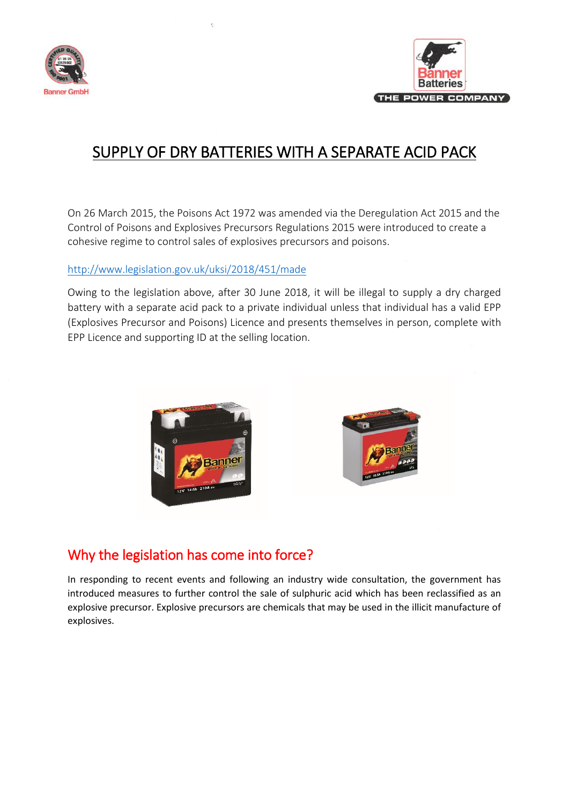



# SUPPLY OF DRY BATTERIES WITH A SEPARATE ACID PACK

On 26 March 2015, the Poisons Act 1972 was amended via the Deregulation Act 2015 and the Control of Poisons and Explosives Precursors Regulations 2015 were introduced to create a cohesive regime to control sales of explosives precursors and poisons.

#### <http://www.legislation.gov.uk/uksi/2018/451/made>

Owing to the legislation above, after 30 June 2018, it will be illegal to supply a dry charged battery with a separate acid pack to a private individual unless that individual has a valid EPP (Explosives Precursor and Poisons) Licence and presents themselves in person, complete with EPP Licence and supporting ID at the selling location.





### Why the legislation has come into force?

In responding to recent events and following an industry wide consultation, the government has introduced measures to further control the sale of sulphuric acid which has been reclassified as an explosive precursor. Explosive precursors are chemicals that may be used in the illicit manufacture of explosives.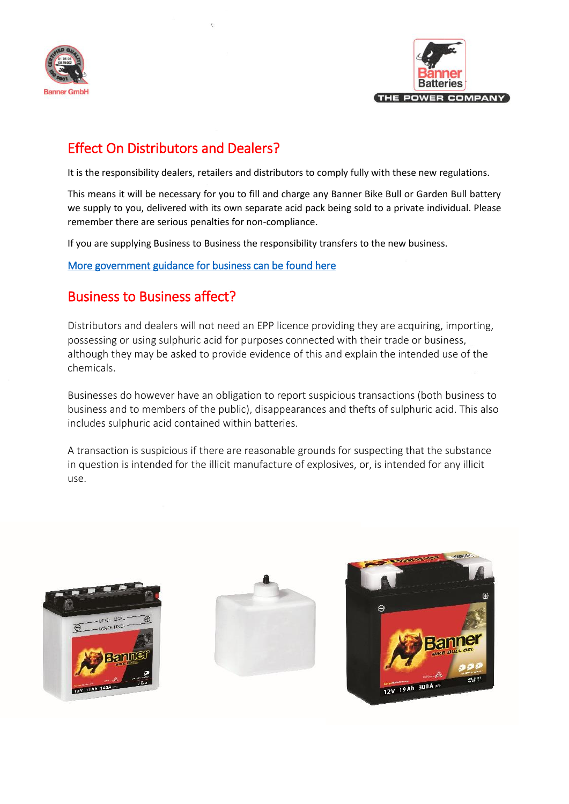



## Effect On Distributors and Dealers?

It is the responsibility dealers, retailers and distributors to comply fully with these new regulations.

This means it will be necessary for you to fill and charge any Banner Bike Bull or Garden Bull battery we supply to you, delivered with its own separate acid pack being sold to a private individual. Please remember there are serious penalties for non-compliance.

If you are supplying Business to Business the responsibility transfers to the new business.

[More government guidance for business can be found here](https://www.gov.uk/government/publications/supplying-explosives-precursors/supplying-explosives-precursors-and-poison) 

## Business to Business affect?

Distributors and dealers will not need an EPP licence providing they are acquiring, importing, possessing or using sulphuric acid for purposes connected with their trade or business, although they may be asked to provide evidence of this and explain the intended use of the chemicals.

Businesses do however have an obligation to report suspicious transactions (both business to business and to members of the public), disappearances and thefts of sulphuric acid. This also includes sulphuric acid contained within batteries.

A transaction is suspicious if there are reasonable grounds for suspecting that the substance in question is intended for the illicit manufacture of explosives, or, is intended for any illicit use.